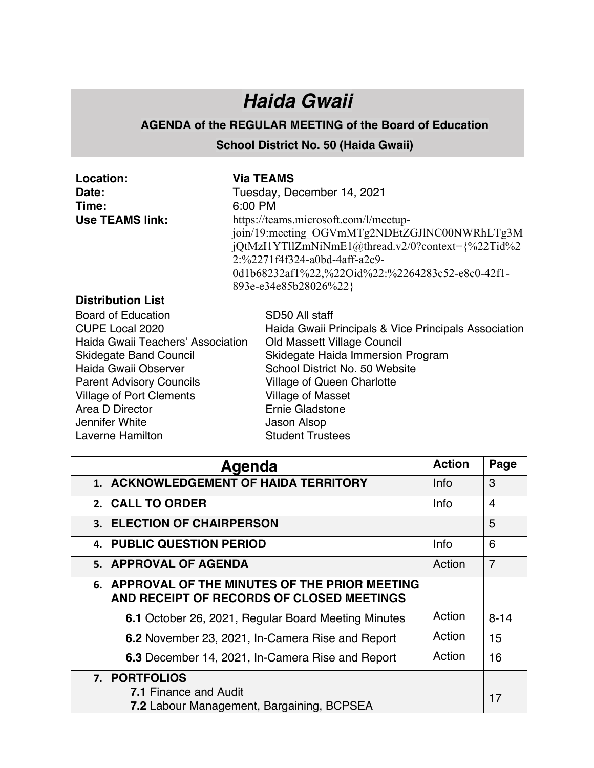## *Haida Gwaii*

## **AGENDA of the REGULAR MEETING of the Board of Education**

## **School District No. 50 (Haida Gwaii)**

| Location:                                                                                                                                                                                                                                                          | <b>Via TEAMS</b>                                                                                                                                                                                                                                                                                           |  |  |  |
|--------------------------------------------------------------------------------------------------------------------------------------------------------------------------------------------------------------------------------------------------------------------|------------------------------------------------------------------------------------------------------------------------------------------------------------------------------------------------------------------------------------------------------------------------------------------------------------|--|--|--|
| Date:                                                                                                                                                                                                                                                              | Tuesday, December 14, 2021                                                                                                                                                                                                                                                                                 |  |  |  |
| Time:                                                                                                                                                                                                                                                              | 6:00 PM                                                                                                                                                                                                                                                                                                    |  |  |  |
| <b>Use TEAMS link:</b>                                                                                                                                                                                                                                             | https://teams.microsoft.com/l/meetup-<br>join/19:meeting OGVmMTg2NDEtZGJlNC00NWRhLTg3M<br>jQtMzI1YTllZmNiNmE1@thread.v2/0?context={%22Tid%2<br>2:%2271f4f324-a0bd-4aff-a2c9-<br>0d1b68232af1%22,%22Oid%22:%2264283c52-e8c0-42f1-<br>893e-e34e85b28026%22}                                                  |  |  |  |
| <b>Distribution List</b>                                                                                                                                                                                                                                           |                                                                                                                                                                                                                                                                                                            |  |  |  |
| Board of Education<br>CUPE Local 2020<br>Haida Gwaii Teachers' Association<br><b>Skidegate Band Council</b><br>Haida Gwaii Observer<br><b>Parent Advisory Councils</b><br><b>Village of Port Clements</b><br>Area D Director<br>Jennifer White<br>Laverne Hamilton | SD50 All staff<br>Haida Gwaii Principals & Vice Principals Association<br>Old Massett Village Council<br>Skidegate Haida Immersion Program<br>School District No. 50 Website<br><b>Village of Queen Charlotte</b><br><b>Village of Masset</b><br>Ernie Gladstone<br>Jason Alsop<br><b>Student Trustees</b> |  |  |  |

| Agenda                                                                                       |             | Page           |
|----------------------------------------------------------------------------------------------|-------------|----------------|
| 1. ACKNOWLEDGEMENT OF HAIDA TERRITORY                                                        |             | 3              |
| 2. CALL TO ORDER                                                                             | <b>Info</b> | 4              |
| 3. ELECTION OF CHAIRPERSON                                                                   |             | 5              |
| <b>4. PUBLIC QUESTION PERIOD</b>                                                             | <b>Info</b> | 6              |
| 5. APPROVAL OF AGENDA                                                                        | Action      | $\overline{7}$ |
| 6. APPROVAL OF THE MINUTES OF THE PRIOR MEETING<br>AND RECEIPT OF RECORDS OF CLOSED MEETINGS |             |                |
| 6.1 October 26, 2021, Regular Board Meeting Minutes                                          | Action      | $8 - 14$       |
| 6.2 November 23, 2021, In-Camera Rise and Report                                             | Action      | 15             |
| 6.3 December 14, 2021, In-Camera Rise and Report                                             | Action      | 16             |
| 7. PORTFOLIOS                                                                                |             |                |
| <b>7.1 Finance and Audit</b>                                                                 |             | 17             |
| 7.2 Labour Management, Bargaining, BCPSEA                                                    |             |                |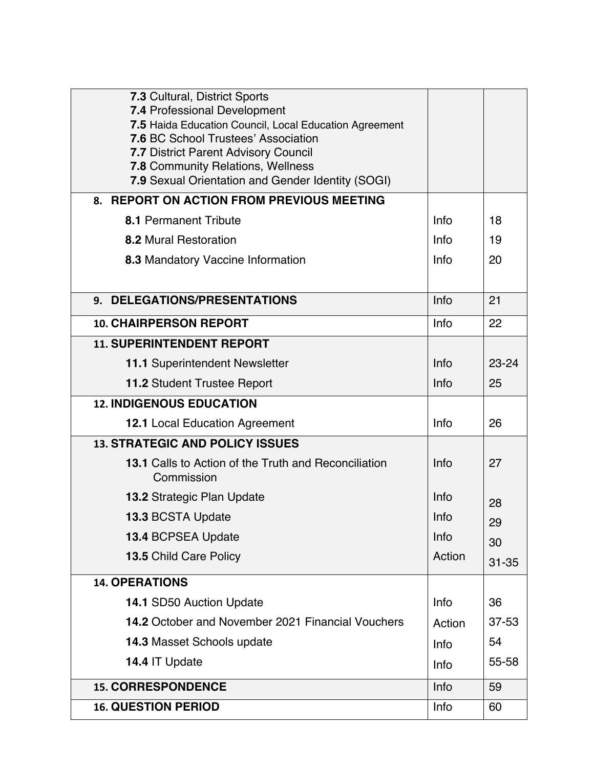| 7.3 Cultural, District Sports<br><b>7.4 Professional Development</b><br>7.5 Haida Education Council, Local Education Agreement<br><b>7.6 BC School Trustees' Association</b><br><b>7.7 District Parent Advisory Council</b> |        |           |
|-----------------------------------------------------------------------------------------------------------------------------------------------------------------------------------------------------------------------------|--------|-----------|
| 7.8 Community Relations, Wellness<br>7.9 Sexual Orientation and Gender Identity (SOGI)                                                                                                                                      |        |           |
| 8. REPORT ON ACTION FROM PREVIOUS MEETING                                                                                                                                                                                   |        |           |
| 8.1 Permanent Tribute                                                                                                                                                                                                       |        | 18        |
| <b>8.2 Mural Restoration</b>                                                                                                                                                                                                |        | 19        |
| <b>8.3 Mandatory Vaccine Information</b>                                                                                                                                                                                    | Info   | 20        |
|                                                                                                                                                                                                                             |        |           |
| 9. DELEGATIONS/PRESENTATIONS                                                                                                                                                                                                | Info   | 21        |
| <b>10. CHAIRPERSON REPORT</b>                                                                                                                                                                                               | Info   | 22        |
| <b>11. SUPERINTENDENT REPORT</b>                                                                                                                                                                                            |        |           |
| 11.1 Superintendent Newsletter                                                                                                                                                                                              | Info   | 23-24     |
| <b>11.2 Student Trustee Report</b>                                                                                                                                                                                          | Info   | 25        |
| <b>12. INDIGENOUS EDUCATION</b>                                                                                                                                                                                             |        |           |
| 12.1 Local Education Agreement                                                                                                                                                                                              | Info   | 26        |
| <b>13. STRATEGIC AND POLICY ISSUES</b>                                                                                                                                                                                      |        |           |
| 13.1 Calls to Action of the Truth and Reconciliation<br>Commission                                                                                                                                                          | Info   | 27        |
| <b>13.2 Strategic Plan Update</b>                                                                                                                                                                                           | Info   | 28        |
| 13.3 BCSTA Update                                                                                                                                                                                                           | Info   | 29        |
| 13.4 BCPSEA Update                                                                                                                                                                                                          | Info   | 30        |
| 13.5 Child Care Policy                                                                                                                                                                                                      | Action | $31 - 35$ |
| <b>14. OPERATIONS</b>                                                                                                                                                                                                       |        |           |
| 14.1 SD50 Auction Update                                                                                                                                                                                                    | Info   | 36        |
| 14.2 October and November 2021 Financial Vouchers                                                                                                                                                                           | Action | $37 - 53$ |
| <b>14.3 Masset Schools update</b>                                                                                                                                                                                           | Info   | 54        |
| 14.4 IT Update                                                                                                                                                                                                              | Info   | 55-58     |
| <b>15. CORRESPONDENCE</b>                                                                                                                                                                                                   | Info   | 59        |
| <b>16. QUESTION PERIOD</b>                                                                                                                                                                                                  | Info   | 60        |